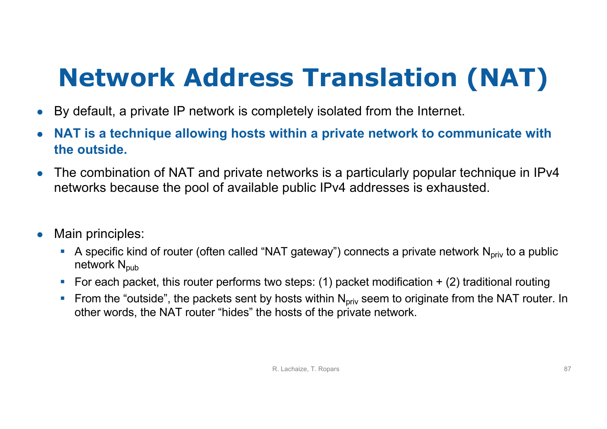## **Network Address Translation (NAT)**

- By default, a private IP network is completely isolated from the Internet.
- **NAT is a technique allowing hosts within a private network to communicate with the outside.**
- The combination of NAT and private networks is a particularly popular technique in IPv4 networks because the pool of available public IPv4 addresses is exhausted.
- Main principles:
	- A specific kind of router (often called "NAT gateway") connects a private network  $N_{\text{priv}}$  to a public network  $N_{\text{pub}}$
	- For each packet, this router performs two steps: (1) packet modification  $+$  (2) traditional routing
	- **Fig. 5** From the "outside", the packets sent by hosts within  $N_{\text{priv}}$  seem to originate from the NAT router. In other words, the NAT router "hides" the hosts of the private network.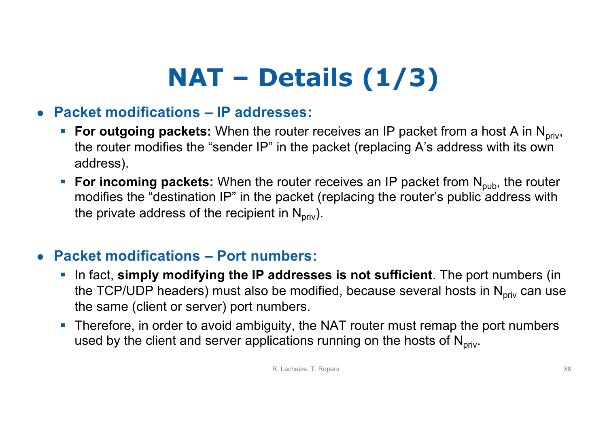# **NAT – Details (1/3)**

#### ● **Packet modifications – IP addresses:**

- **For outgoing packets:** When the router receives an IP packet from a host A in N<sub>priv</sub>, the router modifies the "sender IP" in the packet (replacing A's address with its own address).
- **For incoming packets:** When the router receives an IP packet from N<sub>pub</sub>, the router modifies the "destination IP" in the packet (replacing the router's public address with the private address of the recipient in  $N_{\text{priv}}$ ).

#### ● **Packet modifications – Port numbers:**

- § In fact, **simply modifying the IP addresses is not sufficient**. The port numbers (in the TCP/UDP headers) must also be modified, because several hosts in  $N_{\text{priv}}$  can use the same (client or server) port numbers.
- Therefore, in order to avoid ambiguity, the NAT router must remap the port numbers used by the client and server applications running on the hosts of  $N<sub>priv</sub>$ .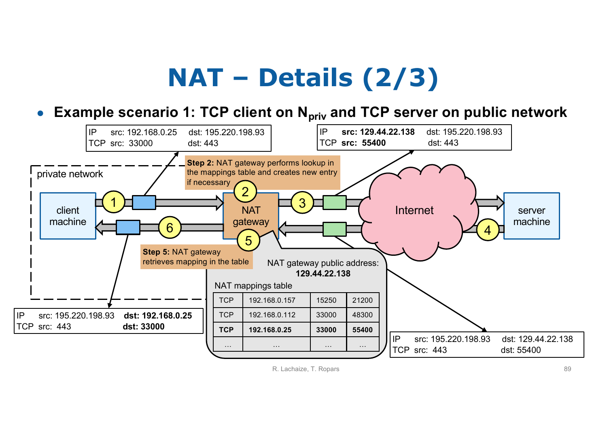## **NAT – Details (2/3)**

● **Example scenario 1: TCP client on N<sub>priv</sub> and TCP server on public network**